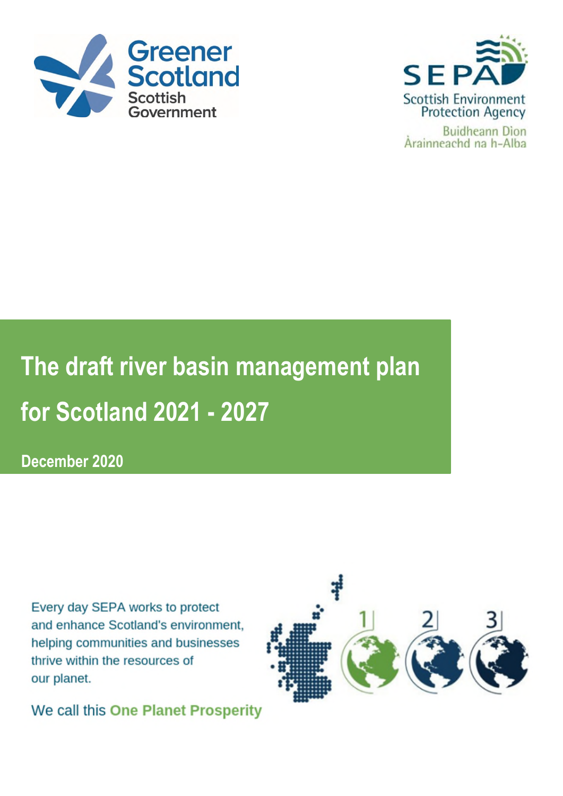



**The draft river basin management plan for Scotland 2021 - 2027**

**December 2020**

Every day SEPA works to protect and enhance Scotland's environment, helping communities and businesses thrive within the resources of our planet.

We call this One Planet Prosperity

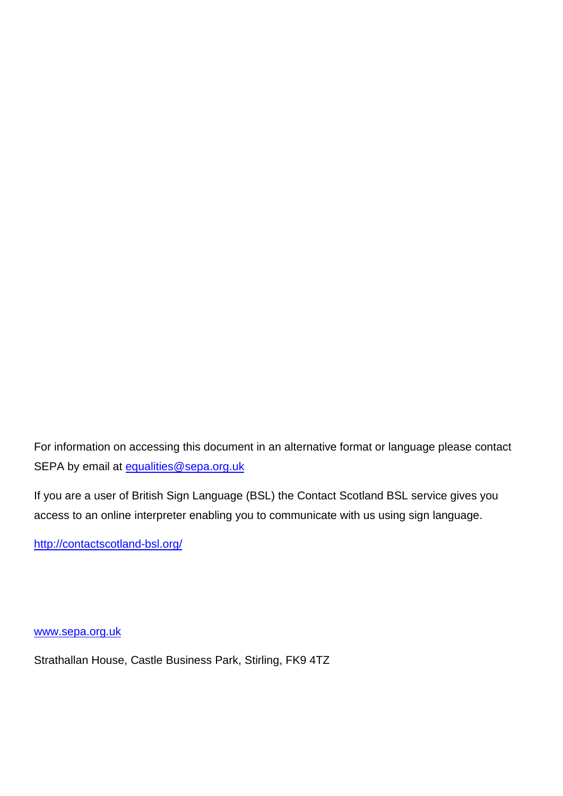For information on accessing this document in an alternative format or language please contact SEPA by email at **equalities@sepa.org.uk** 

If you are a user of British Sign Language (BSL) the Contact Scotland BSL service gives you access to an online interpreter enabling you to communicate with us using sign language.

<http://contactscotland-bsl.org/>

[www.sepa.org.uk](http://www.sepa.org.uk/)

Strathallan House, Castle Business Park, Stirling, FK9 4TZ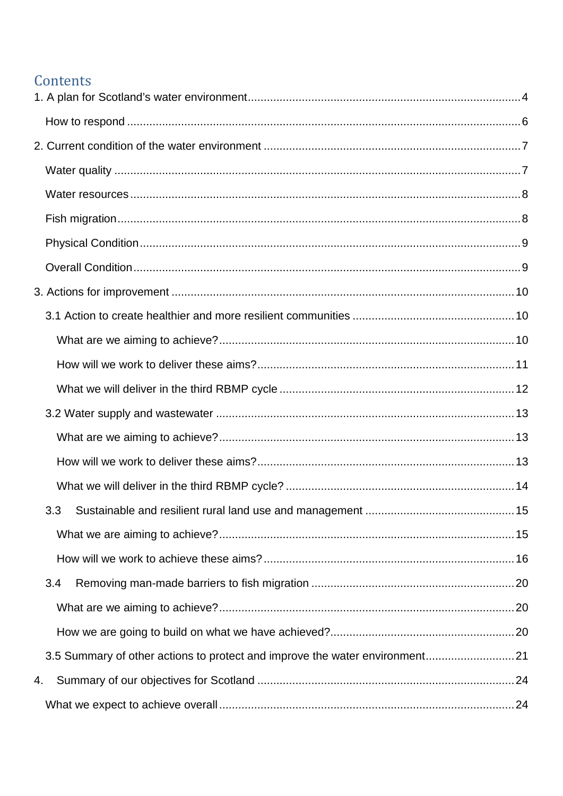# Contents

|    | 3.3 |  |
|----|-----|--|
|    |     |  |
|    |     |  |
|    | 3.4 |  |
|    |     |  |
|    |     |  |
|    |     |  |
| 4. |     |  |
|    |     |  |
|    |     |  |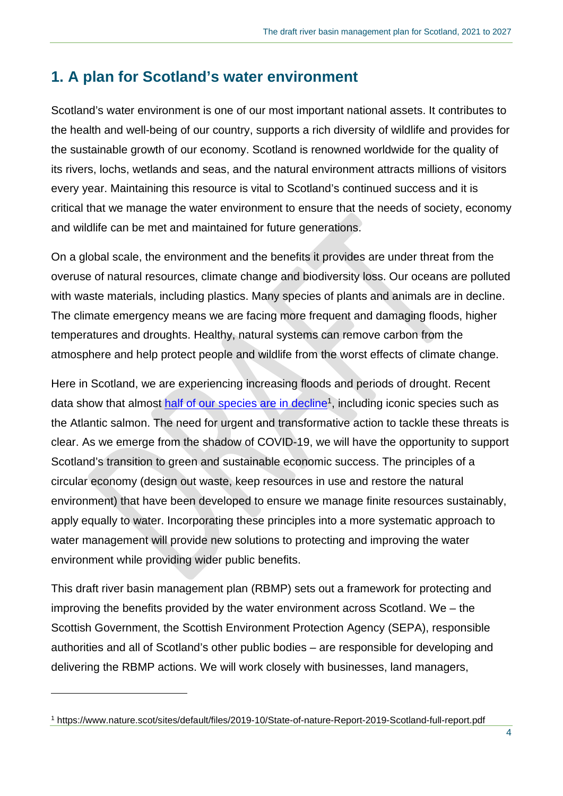## <span id="page-3-0"></span>**1. A plan for Scotland's water environment**

Scotland's water environment is one of our most important national assets. It contributes to the health and well-being of our country, supports a rich diversity of wildlife and provides for the sustainable growth of our economy. Scotland is renowned worldwide for the quality of its rivers, lochs, wetlands and seas, and the natural environment attracts millions of visitors every year. Maintaining this resource is vital to Scotland's continued success and it is critical that we manage the water environment to ensure that the needs of society, economy and wildlife can be met and maintained for future generations.

On a global scale, the environment and the benefits it provides are under threat from the overuse of natural resources, climate change and biodiversity loss. Our oceans are polluted with waste materials, including plastics. Many species of plants and animals are in decline. The climate emergency means we are facing more frequent and damaging floods, higher temperatures and droughts. Healthy, natural systems can remove carbon from the atmosphere and help protect people and wildlife from the worst effects of climate change.

Here in Scotland, we are experiencing increasing floods and periods of drought. Recent data show that almost [half of our species are in decline](https://www.nature.scot/sites/default/files/2019-10/State-of-nature-Report-2019-Scotland-full-report.pdf)<sup>1</sup>, including iconic species such as the Atlantic salmon. The need for urgent and transformative action to tackle these threats is clear. As we emerge from the shadow of COVID-19, we will have the opportunity to support Scotland's transition to green and sustainable economic success. The principles of a circular economy (design out waste, keep resources in use and restore the natural environment) that have been developed to ensure we manage finite resources sustainably, apply equally to water. Incorporating these principles into a more systematic approach to water management will provide new solutions to protecting and improving the water environment while providing wider public benefits.

This draft river basin management plan (RBMP) sets out a framework for protecting and improving the benefits provided by the water environment across Scotland. We – the Scottish Government, the Scottish Environment Protection Agency (SEPA), responsible authorities and all of Scotland's other public bodies – are responsible for developing and delivering the RBMP actions. We will work closely with businesses, land managers,

<sup>1</sup> https://www.nature.scot/sites/default/files/2019-10/State-of-nature-Report-2019-Scotland-full-report.pdf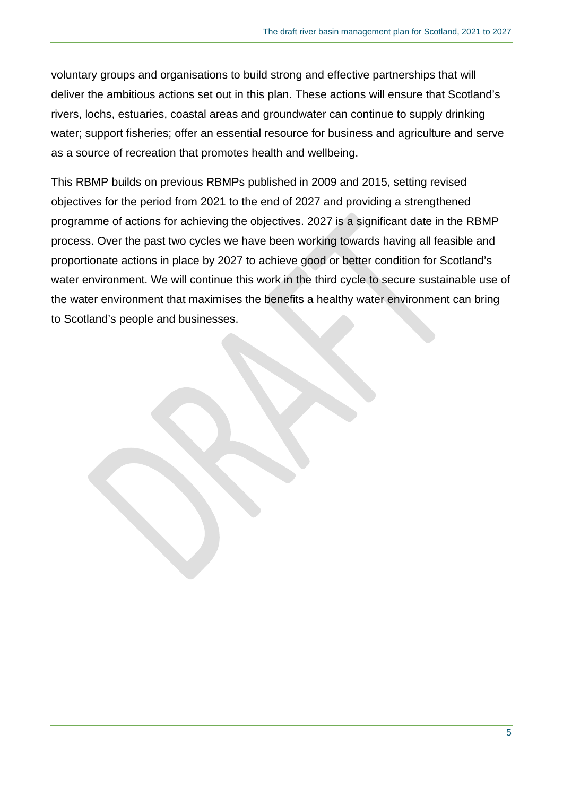voluntary groups and organisations to build strong and effective partnerships that will deliver the ambitious actions set out in this plan. These actions will ensure that Scotland's rivers, lochs, estuaries, coastal areas and groundwater can continue to supply drinking water; support fisheries; offer an essential resource for business and agriculture and serve as a source of recreation that promotes health and wellbeing.

This RBMP builds on previous RBMPs published in 2009 and 2015, setting revised objectives for the period from 2021 to the end of 2027 and providing a strengthened programme of actions for achieving the objectives. 2027 is a significant date in the RBMP process. Over the past two cycles we have been working towards having all feasible and proportionate actions in place by 2027 to achieve good or better condition for Scotland's water environment. We will continue this work in the third cycle to secure sustainable use of the water environment that maximises the benefits a healthy water environment can bring to Scotland's people and businesses.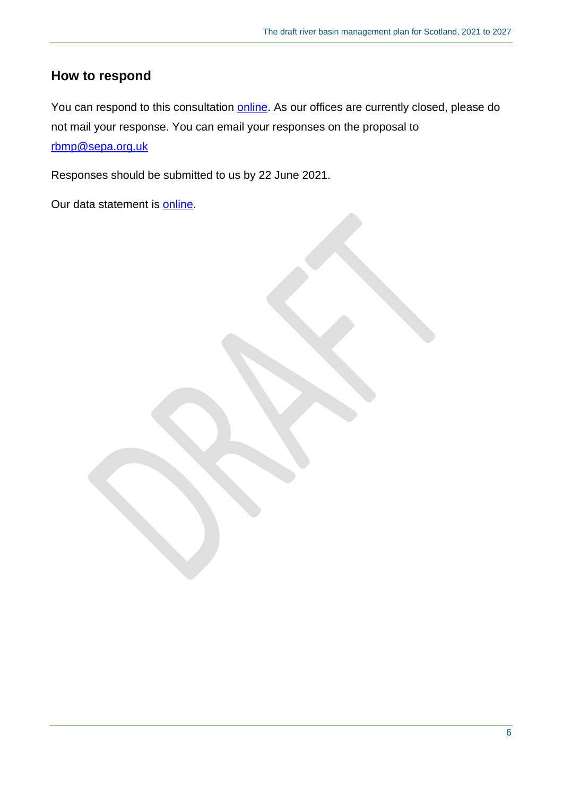### <span id="page-5-0"></span>**How to respond**

You can respond to this consultation [online.](https://consultation.sepa.org.uk/rbmp/draft-river-basin-management-plan-for-scotland) As our offices are currently closed, please do not mail your response. You can email your responses on the proposal to [rbmp@sepa.org.uk](mailto:rbmp@sepa.org.uk) 

Responses should be submitted to us by 22 June 2021.

Our data statement is **online**.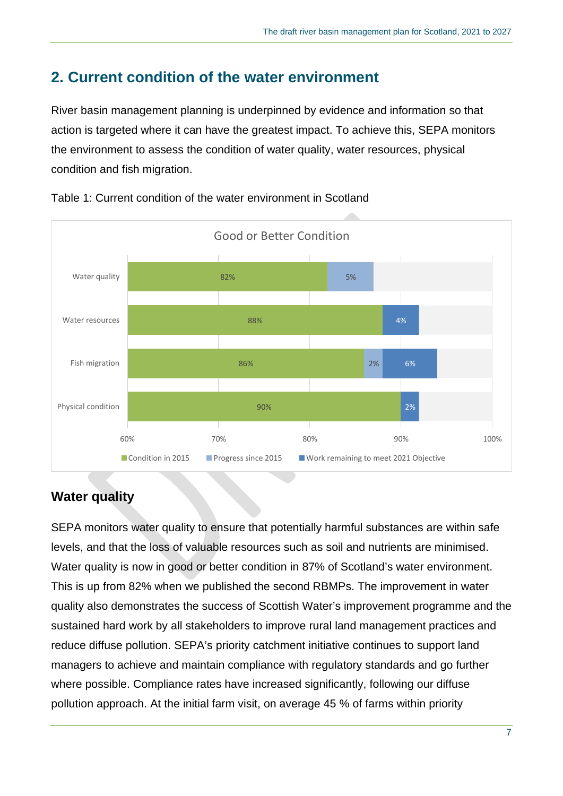# <span id="page-6-0"></span>**2. Current condition of the water environment**

River basin management planning is underpinned by evidence and information so that action is targeted where it can have the greatest impact. To achieve this, SEPA monitors the environment to assess the condition of water quality, water resources, physical condition and fish migration.



Table 1: Current condition of the water environment in Scotland

## <span id="page-6-1"></span>**Water quality**

SEPA monitors water quality to ensure that potentially harmful substances are within safe levels, and that the loss of valuable resources such as soil and nutrients are minimised. Water quality is now in good or better condition in 87% of Scotland's water environment. This is up from 82% when we published the second RBMPs. The improvement in water quality also demonstrates the success of Scottish Water's improvement programme and the sustained hard work by all stakeholders to improve rural land management practices and reduce diffuse pollution. SEPA's priority catchment initiative continues to support land managers to achieve and maintain compliance with regulatory standards and go further where possible. Compliance rates have increased significantly, following our diffuse pollution approach. At the initial farm visit, on average 45 % of farms within priority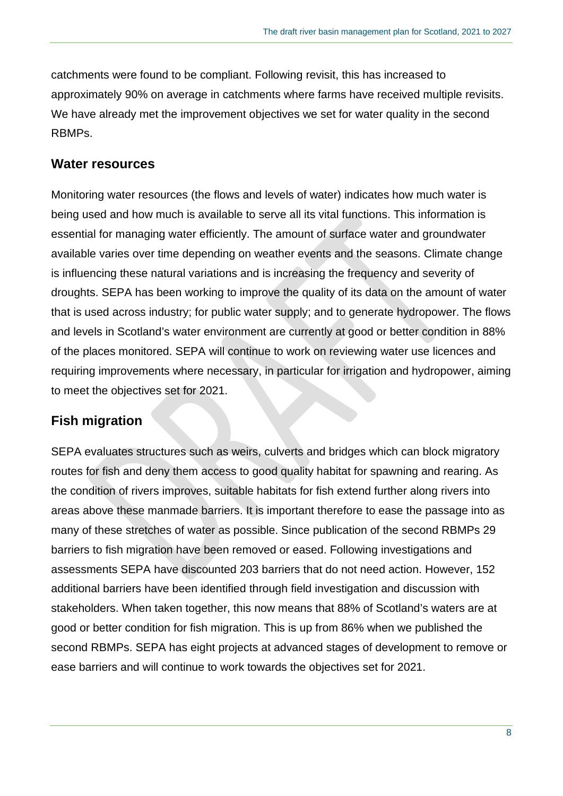catchments were found to be compliant. Following revisit, this has increased to approximately 90% on average in catchments where farms have received multiple revisits. We have already met the improvement objectives we set for water quality in the second RBMPs.

#### <span id="page-7-0"></span>**Water resources**

Monitoring water resources (the flows and levels of water) indicates how much water is being used and how much is available to serve all its vital functions. This information is essential for managing water efficiently. The amount of surface water and groundwater available varies over time depending on weather events and the seasons. Climate change is influencing these natural variations and is increasing the frequency and severity of droughts. SEPA has been working to improve the quality of its data on the amount of water that is used across industry; for public water supply; and to generate hydropower. The flows and levels in Scotland's water environment are currently at good or better condition in 88% of the places monitored. SEPA will continue to work on reviewing water use licences and requiring improvements where necessary, in particular for irrigation and hydropower, aiming to meet the objectives set for 2021.

#### <span id="page-7-1"></span>**Fish migration**

SEPA evaluates structures such as weirs, culverts and bridges which can block migratory routes for fish and deny them access to good quality habitat for spawning and rearing. As the condition of rivers improves, suitable habitats for fish extend further along rivers into areas above these manmade barriers. It is important therefore to ease the passage into as many of these stretches of water as possible. Since publication of the second RBMPs 29 barriers to fish migration have been removed or eased. Following investigations and assessments SEPA have discounted 203 barriers that do not need action. However, 152 additional barriers have been identified through field investigation and discussion with stakeholders. When taken together, this now means that 88% of Scotland's waters are at good or better condition for fish migration. This is up from 86% when we published the second RBMPs. SEPA has eight projects at advanced stages of development to remove or ease barriers and will continue to work towards the objectives set for 2021.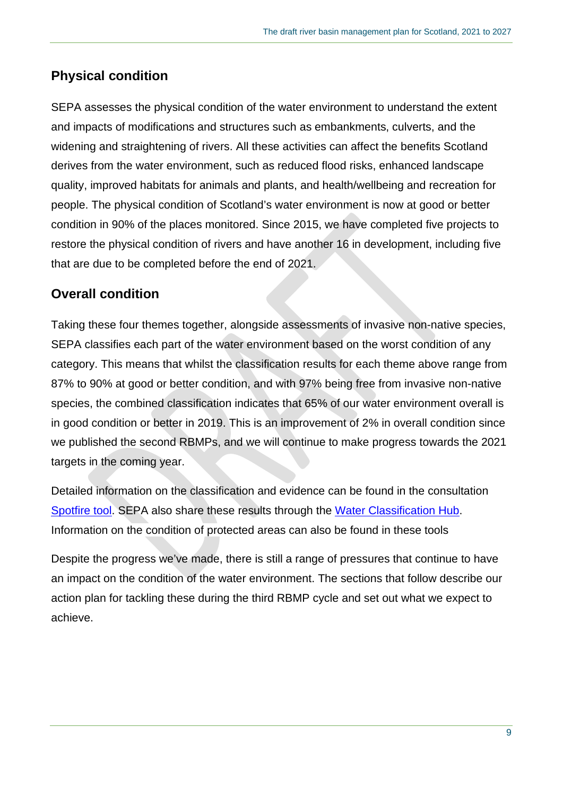## <span id="page-8-0"></span>**Physical condition**

SEPA assesses the physical condition of the water environment to understand the extent and impacts of modifications and structures such as embankments, culverts, and the widening and straightening of rivers. All these activities can affect the benefits Scotland derives from the water environment, such as reduced flood risks, enhanced landscape quality, improved habitats for animals and plants, and health/wellbeing and recreation for people. The physical condition of Scotland's water environment is now at good or better condition in 90% of the places monitored. Since 2015, we have completed five projects to restore the physical condition of rivers and have another 16 in development, including five that are due to be completed before the end of 2021.

## <span id="page-8-1"></span>**Overall condition**

Taking these four themes together, alongside assessments of invasive non-native species, SEPA classifies each part of the water environment based on the worst condition of any category. This means that whilst the classification results for each theme above range from 87% to 90% at good or better condition, and with 97% being free from invasive non-native species, the combined classification indicates that 65% of our water environment overall is in good condition or better in 2019. This is an improvement of 2% in overall condition since we published the second RBMPs, and we will continue to make progress towards the 2021 targets in the coming year.

Detailed information on the classification and evidence can be found in the consultation [Spotfire tool.](https://informatics.sepa.org.uk/draftRBMP3hub) SEPA also share these results through the [Water Classification Hub.](https://www.sepa.org.uk/data-visualisation/water-classification-hub/) Information on the condition of protected areas can also be found in these tools

Despite the progress we've made, there is still a range of pressures that continue to have an impact on the condition of the water environment. The sections that follow describe our action plan for tackling these during the third RBMP cycle and set out what we expect to achieve.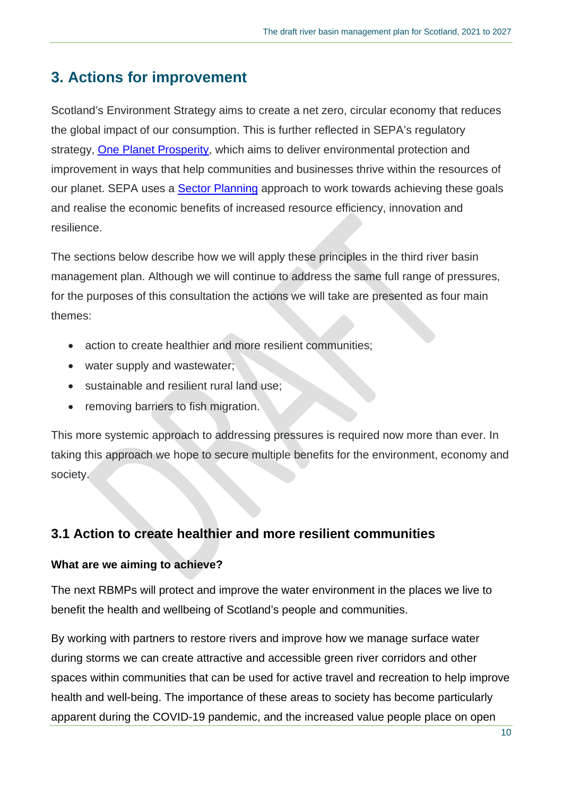# <span id="page-9-0"></span>**3. Actions for improvement**

Scotland's Environment Strategy aims to create a net zero, circular economy that reduces the global impact of our consumption. This is further reflected in SEPA's regulatory strategy, [One Planet Prosperity,](https://www.sepa.org.uk/one-planet-prosperity/) which aims to deliver environmental protection and improvement in ways that help communities and businesses thrive within the resources of our planet. SEPA uses a **Sector Planning** approach to work towards achieving these goals and realise the economic benefits of increased resource efficiency, innovation and resilience.

The sections below describe how we will apply these principles in the third river basin management plan. Although we will continue to address the same full range of pressures, for the purposes of this consultation the actions we will take are presented as four main themes:

- action to create healthier and more resilient communities;
- water supply and wastewater;
- sustainable and resilient rural land use;
- removing barriers to fish migration.

This more systemic approach to addressing pressures is required now more than ever. In taking this approach we hope to secure multiple benefits for the environment, economy and society.

## <span id="page-9-1"></span>**3.1 Action to create healthier and more resilient communities**

### <span id="page-9-2"></span>**What are we aiming to achieve?**

The next RBMPs will protect and improve the water environment in the places we live to benefit the health and wellbeing of Scotland's people and communities.

By working with partners to restore rivers and improve how we manage surface water during storms we can create attractive and accessible green river corridors and other spaces within communities that can be used for active travel and recreation to help improve health and well-being. The importance of these areas to society has become particularly apparent during the COVID-19 pandemic, and the increased value people place on open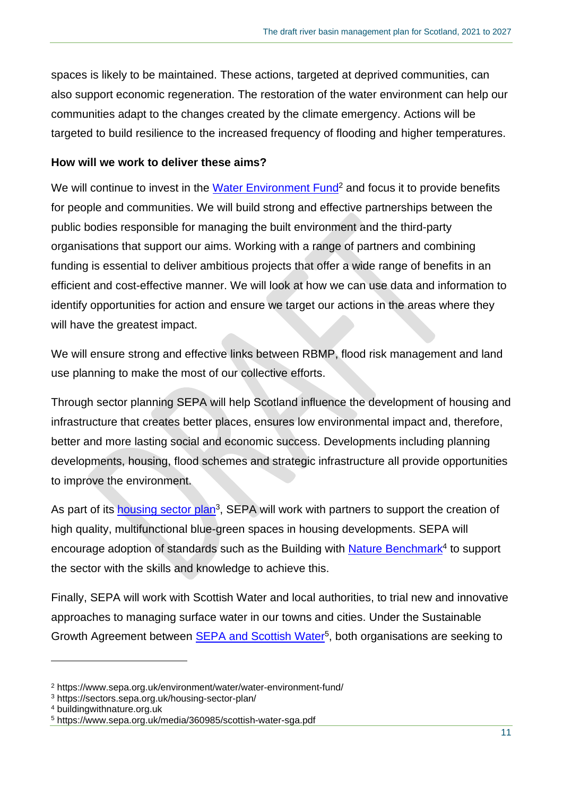spaces is likely to be maintained. These actions, targeted at deprived communities, can also support economic regeneration. The restoration of the water environment can help our communities adapt to the changes created by the climate emergency. Actions will be targeted to build resilience to the increased frequency of flooding and higher temperatures.

#### <span id="page-10-0"></span>**How will we work to deliver these aims?**

We will continue to invest in the [Water Environment Fund](https://www.sepa.org.uk/environment/water/water-environment-fund/)<sup>2</sup> and focus it to provide benefits for people and communities. We will build strong and effective partnerships between the public bodies responsible for managing the built environment and the third-party organisations that support our aims. Working with a range of partners and combining funding is essential to deliver ambitious projects that offer a wide range of benefits in an efficient and cost-effective manner. We will look at how we can use data and information to identify opportunities for action and ensure we target our actions in the areas where they will have the greatest impact.

We will ensure strong and effective links between RBMP, flood risk management and land use planning to make the most of our collective efforts.

Through sector planning SEPA will help Scotland influence the development of housing and infrastructure that creates better places, ensures low environmental impact and, therefore, better and more lasting social and economic success. Developments including planning developments, housing, flood schemes and strategic infrastructure all provide opportunities to improve the environment.

As part of its **housing sector plan**<sup>3</sup>, SEPA will work with partners to support the creation of high quality, multifunctional blue-green spaces in housing developments. SEPA will encourage adoption of standards such as the Building with **Nature Benchmark<sup>4</sup> to support** the sector with the skills and knowledge to achieve this.

Finally, SEPA will work with Scottish Water and local authorities, to trial new and innovative approaches to managing surface water in our towns and cities. Under the Sustainable Growth Agreement between **SEPA and Scottish Water<sup>5</sup>**, both organisations are seeking to

<sup>2</sup> https://www.sepa.org.uk/environment/water/water-environment-fund/

<sup>3</sup> https://sectors.sepa.org.uk/housing-sector-plan/

<sup>4</sup> buildingwithnature.org.uk

<sup>5</sup> https://www.sepa.org.uk/media/360985/scottish-water-sga.pdf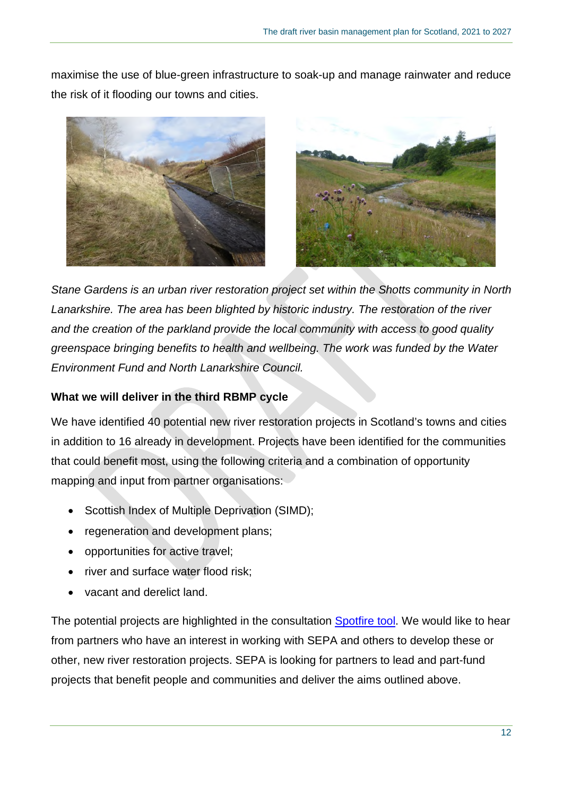maximise the use of blue-green infrastructure to soak-up and manage rainwater and reduce the risk of it flooding our towns and cities.





*Stane Gardens is an urban river restoration project set within the Shotts community in North Lanarkshire. The area has been blighted by historic industry. The restoration of the river and the creation of the parkland provide the local community with access to good quality greenspace bringing benefits to health and wellbeing. The work was funded by the Water Environment Fund and North Lanarkshire Council.* 

### <span id="page-11-0"></span>**What we will deliver in the third RBMP cycle**

We have identified 40 potential new river restoration projects in Scotland's towns and cities in addition to 16 already in development. Projects have been identified for the communities that could benefit most, using the following criteria and a combination of opportunity mapping and input from partner organisations:

- Scottish Index of Multiple Deprivation (SIMD);
- regeneration and development plans;
- opportunities for active travel;
- river and surface water flood risk;
- vacant and derelict land.

The potential projects are highlighted in the consultation [Spotfire tool.](https://informatics.sepa.org.uk/draftRBMP3hub) We would like to hear from partners who have an interest in working with SEPA and others to develop these or other, new river restoration projects. SEPA is looking for partners to lead and part-fund projects that benefit people and communities and deliver the aims outlined above.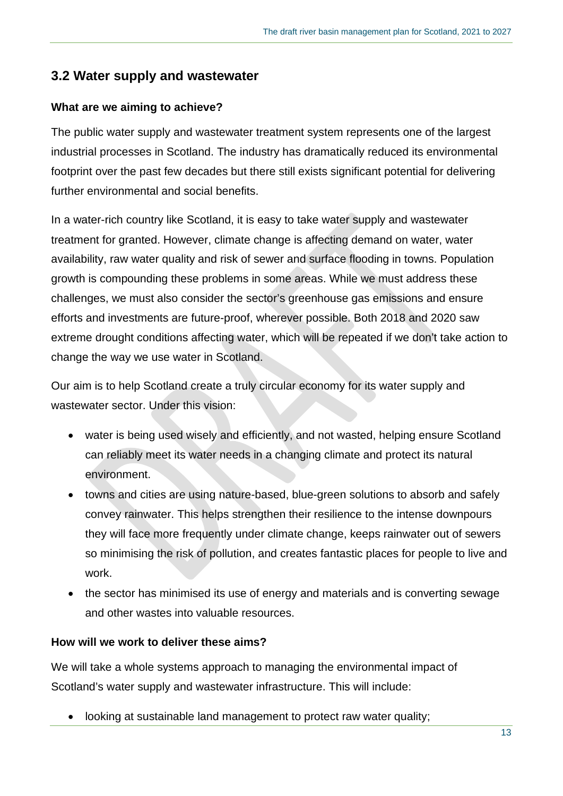### <span id="page-12-0"></span>**3.2 Water supply and wastewater**

### <span id="page-12-1"></span>**What are we aiming to achieve?**

The public water supply and wastewater treatment system represents one of the largest industrial processes in Scotland. The industry has dramatically reduced its environmental footprint over the past few decades but there still exists significant potential for delivering further environmental and social benefits.

In a water-rich country like Scotland, it is easy to take water supply and wastewater treatment for granted. However, climate change is affecting demand on water, water availability, raw water quality and risk of sewer and surface flooding in towns. Population growth is compounding these problems in some areas. While we must address these challenges, we must also consider the sector's greenhouse gas emissions and ensure efforts and investments are future-proof, wherever possible. Both 2018 and 2020 saw extreme drought conditions affecting water, which will be repeated if we don't take action to change the way we use water in Scotland.

Our aim is to help Scotland create a truly circular economy for its water supply and wastewater sector. Under this vision:

- water is being used wisely and efficiently, and not wasted, helping ensure Scotland can reliably meet its water needs in a changing climate and protect its natural environment.
- towns and cities are using nature-based, blue-green solutions to absorb and safely convey rainwater. This helps strengthen their resilience to the intense downpours they will face more frequently under climate change, keeps rainwater out of sewers so minimising the risk of pollution, and creates fantastic places for people to live and work.
- the sector has minimised its use of energy and materials and is converting sewage and other wastes into valuable resources.

### <span id="page-12-2"></span>**How will we work to deliver these aims?**

We will take a whole systems approach to managing the environmental impact of Scotland's water supply and wastewater infrastructure. This will include:

looking at sustainable land management to protect raw water quality;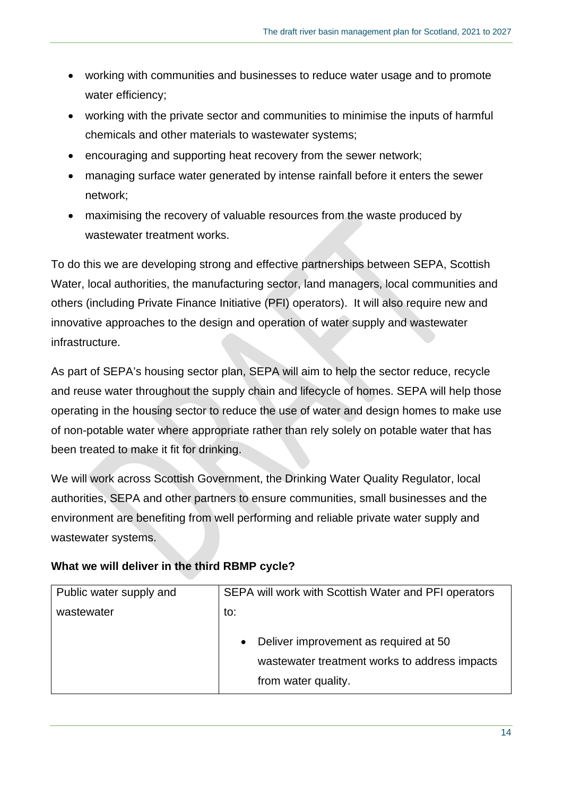- working with communities and businesses to reduce water usage and to promote water efficiency;
- working with the private sector and communities to minimise the inputs of harmful chemicals and other materials to wastewater systems;
- encouraging and supporting heat recovery from the sewer network;
- managing surface water generated by intense rainfall before it enters the sewer network;
- maximising the recovery of valuable resources from the waste produced by wastewater treatment works.

To do this we are developing strong and effective partnerships between SEPA, Scottish Water, local authorities, the manufacturing sector, land managers, local communities and others (including Private Finance Initiative (PFI) operators). It will also require new and innovative approaches to the design and operation of water supply and wastewater infrastructure.

As part of SEPA's housing sector plan, SEPA will aim to help the sector reduce, recycle and reuse water throughout the supply chain and lifecycle of homes. SEPA will help those operating in the housing sector to reduce the use of water and design homes to make use of non-potable water where appropriate rather than rely solely on potable water that has been treated to make it fit for drinking.

We will work across Scottish Government, the Drinking Water Quality Regulator, local authorities, SEPA and other partners to ensure communities, small businesses and the environment are benefiting from well performing and reliable private water supply and wastewater systems.

| Public water supply and | SEPA will work with Scottish Water and PFI operators                                                                       |
|-------------------------|----------------------------------------------------------------------------------------------------------------------------|
| wastewater              | to:                                                                                                                        |
|                         | Deliver improvement as required at 50<br>$\bullet$<br>wastewater treatment works to address impacts<br>from water quality. |

### <span id="page-13-0"></span>**What we will deliver in the third RBMP cycle?**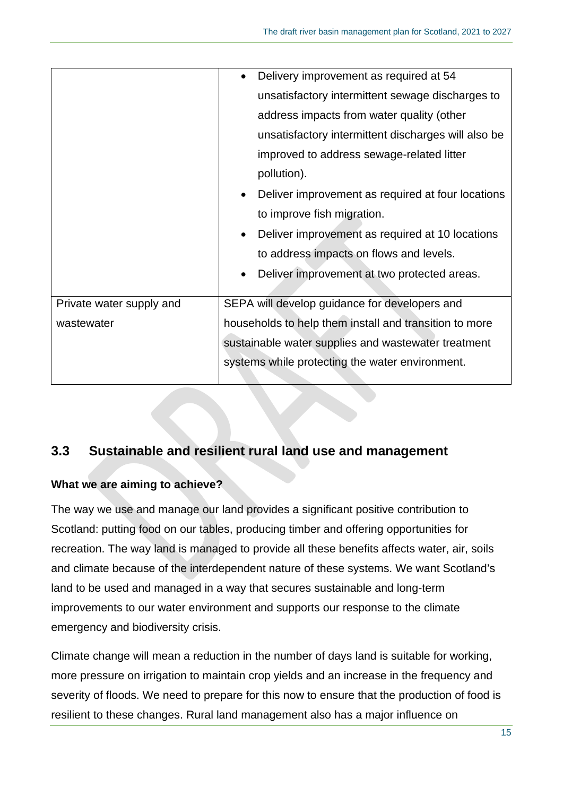|                          | Delivery improvement as required at 54<br>$\bullet$            |
|--------------------------|----------------------------------------------------------------|
|                          | unsatisfactory intermittent sewage discharges to               |
|                          | address impacts from water quality (other                      |
|                          | unsatisfactory intermittent discharges will also be            |
|                          | improved to address sewage-related litter                      |
|                          | pollution).                                                    |
|                          | Deliver improvement as required at four locations<br>$\bullet$ |
|                          | to improve fish migration.                                     |
|                          | Deliver improvement as required at 10 locations<br>$\bullet$   |
|                          | to address impacts on flows and levels.                        |
|                          | Deliver improvement at two protected areas.<br>$\bullet$       |
|                          |                                                                |
| Private water supply and | SEPA will develop guidance for developers and                  |
| wastewater               | households to help them install and transition to more         |
|                          | sustainable water supplies and wastewater treatment            |
|                          | systems while protecting the water environment.                |
|                          |                                                                |

## <span id="page-14-0"></span>**3.3 Sustainable and resilient rural land use and management**

### <span id="page-14-1"></span>**What we are aiming to achieve?**

The way we use and manage our land provides a significant positive contribution to Scotland: putting food on our tables, producing timber and offering opportunities for recreation. The way land is managed to provide all these benefits affects water, air, soils and climate because of the interdependent nature of these systems. We want Scotland's land to be used and managed in a way that secures sustainable and long-term improvements to our water environment and supports our response to the climate emergency and biodiversity crisis.

Climate change will mean a reduction in the number of days land is suitable for working, more pressure on irrigation to maintain crop yields and an increase in the frequency and severity of floods. We need to prepare for this now to ensure that the production of food is resilient to these changes. Rural land management also has a major influence on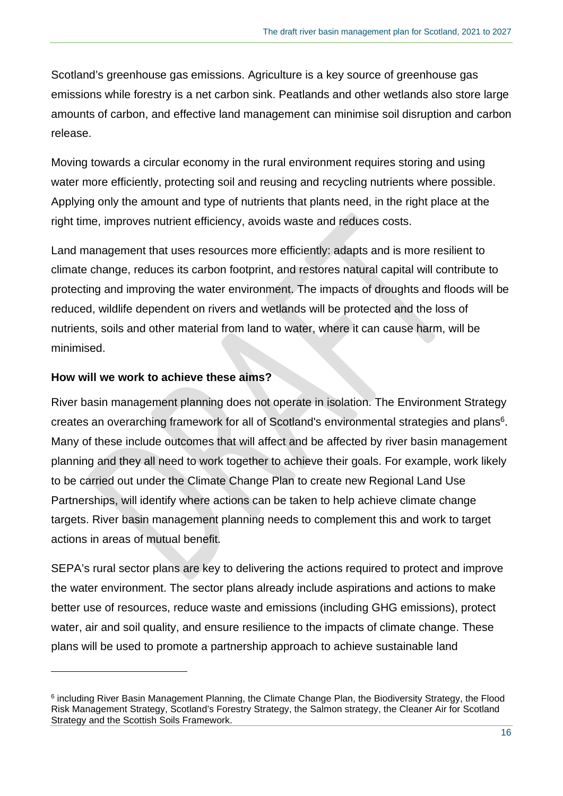Scotland's greenhouse gas emissions. Agriculture is a key source of greenhouse gas emissions while forestry is a net carbon sink. Peatlands and other wetlands also store large amounts of carbon, and effective land management can minimise soil disruption and carbon release.

Moving towards a circular economy in the rural environment requires storing and using water more efficiently, protecting soil and reusing and recycling nutrients where possible. Applying only the amount and type of nutrients that plants need, in the right place at the right time, improves nutrient efficiency, avoids waste and reduces costs.

Land management that uses resources more efficiently: adapts and is more resilient to climate change, reduces its carbon footprint, and restores natural capital will contribute to protecting and improving the water environment. The impacts of droughts and floods will be reduced, wildlife dependent on rivers and wetlands will be protected and the loss of nutrients, soils and other material from land to water, where it can cause harm, will be minimised.

#### <span id="page-15-0"></span>**How will we work to achieve these aims?**

River basin management planning does not operate in isolation. The Environment Strategy creates an overarching framework for all of Scotland's environmental strategies and plans<sup>6</sup>. Many of these include outcomes that will affect and be affected by river basin management planning and they all need to work together to achieve their goals. For example, work likely to be carried out under the Climate Change Plan to create new Regional Land Use Partnerships, will identify where actions can be taken to help achieve climate change targets. River basin management planning needs to complement this and work to target actions in areas of mutual benefit.

SEPA's rural sector plans are key to delivering the actions required to protect and improve the water environment. The sector plans already include aspirations and actions to make better use of resources, reduce waste and emissions (including GHG emissions), protect water, air and soil quality, and ensure resilience to the impacts of climate change. These plans will be used to promote a partnership approach to achieve sustainable land

<sup>&</sup>lt;sup>6</sup> including River Basin Management Planning, the Climate Change Plan, the Biodiversity Strategy, the Flood Risk Management Strategy, Scotland's Forestry Strategy, the Salmon strategy, the Cleaner Air for Scotland Strategy and the Scottish Soils Framework.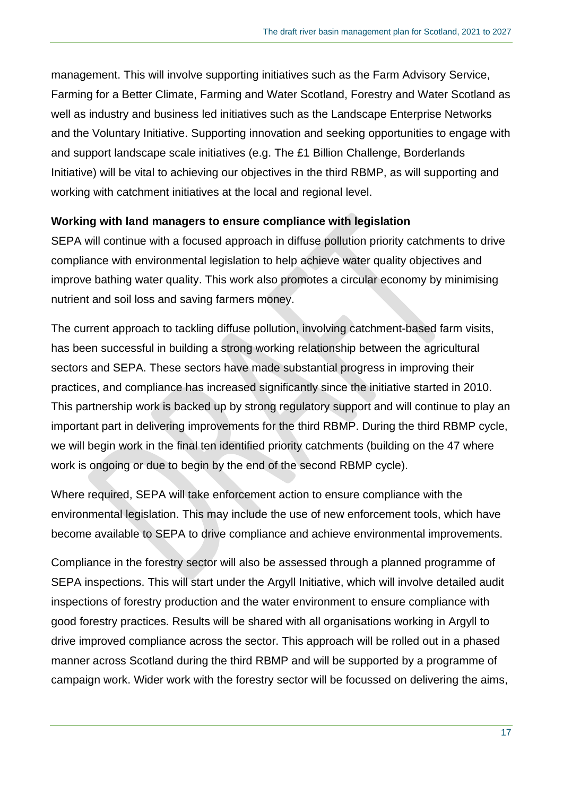management. This will involve supporting initiatives such as the Farm Advisory Service, Farming for a Better Climate, Farming and Water Scotland, Forestry and Water Scotland as well as industry and business led initiatives such as the Landscape Enterprise Networks and the Voluntary Initiative. Supporting innovation and seeking opportunities to engage with and support landscape scale initiatives (e.g. The £1 Billion Challenge, Borderlands Initiative) will be vital to achieving our objectives in the third RBMP, as will supporting and working with catchment initiatives at the local and regional level.

#### **Working with land managers to ensure compliance with legislation**

SEPA will continue with a focused approach in diffuse pollution priority catchments to drive compliance with environmental legislation to help achieve water quality objectives and improve bathing water quality. This work also promotes a circular economy by minimising nutrient and soil loss and saving farmers money.

The current approach to tackling diffuse pollution, involving catchment-based farm visits, has been successful in building a strong working relationship between the agricultural sectors and SEPA. These sectors have made substantial progress in improving their practices, and compliance has increased significantly since the initiative started in 2010. This partnership work is backed up by strong regulatory support and will continue to play an important part in delivering improvements for the third RBMP. During the third RBMP cycle, we will begin work in the final ten identified priority catchments (building on the 47 where work is ongoing or due to begin by the end of the second RBMP cycle).

Where required, SEPA will take enforcement action to ensure compliance with the environmental legislation. This may include the use of new enforcement tools, which have become available to SEPA to drive compliance and achieve environmental improvements.

Compliance in the forestry sector will also be assessed through a planned programme of SEPA inspections. This will start under the Argyll Initiative, which will involve detailed audit inspections of forestry production and the water environment to ensure compliance with good forestry practices. Results will be shared with all organisations working in Argyll to drive improved compliance across the sector. This approach will be rolled out in a phased manner across Scotland during the third RBMP and will be supported by a programme of campaign work. Wider work with the forestry sector will be focussed on delivering the aims,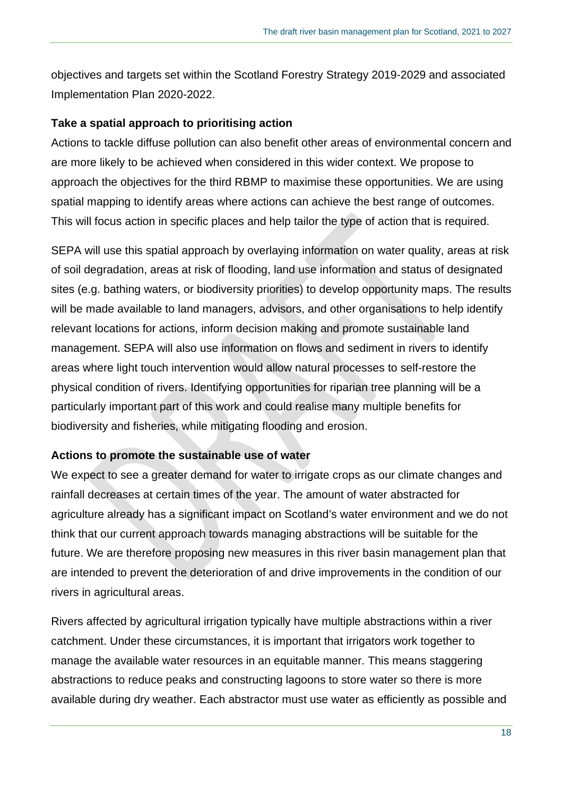objectives and targets set within the Scotland Forestry Strategy 2019-2029 and associated Implementation Plan 2020-2022.

#### **Take a spatial approach to prioritising action**

Actions to tackle diffuse pollution can also benefit other areas of environmental concern and are more likely to be achieved when considered in this wider context. We propose to approach the objectives for the third RBMP to maximise these opportunities. We are using spatial mapping to identify areas where actions can achieve the best range of outcomes. This will focus action in specific places and help tailor the type of action that is required.

SEPA will use this spatial approach by overlaying information on water quality, areas at risk of soil degradation, areas at risk of flooding, land use information and status of designated sites (e.g. bathing waters, or biodiversity priorities) to develop opportunity maps. The results will be made available to land managers, advisors, and other organisations to help identify relevant locations for actions, inform decision making and promote sustainable land management. SEPA will also use information on flows and sediment in rivers to identify areas where light touch intervention would allow natural processes to self-restore the physical condition of rivers. Identifying opportunities for riparian tree planning will be a particularly important part of this work and could realise many multiple benefits for biodiversity and fisheries, while mitigating flooding and erosion.

#### **Actions to promote the sustainable use of water**

We expect to see a greater demand for water to irrigate crops as our climate changes and rainfall decreases at certain times of the year. The amount of water abstracted for agriculture already has a significant impact on Scotland's water environment and we do not think that our current approach towards managing abstractions will be suitable for the future. We are therefore proposing new measures in this river basin management plan that are intended to prevent the deterioration of and drive improvements in the condition of our rivers in agricultural areas.

Rivers affected by agricultural irrigation typically have multiple abstractions within a river catchment. Under these circumstances, it is important that irrigators work together to manage the available water resources in an equitable manner. This means staggering abstractions to reduce peaks and constructing lagoons to store water so there is more available during dry weather. Each abstractor must use water as efficiently as possible and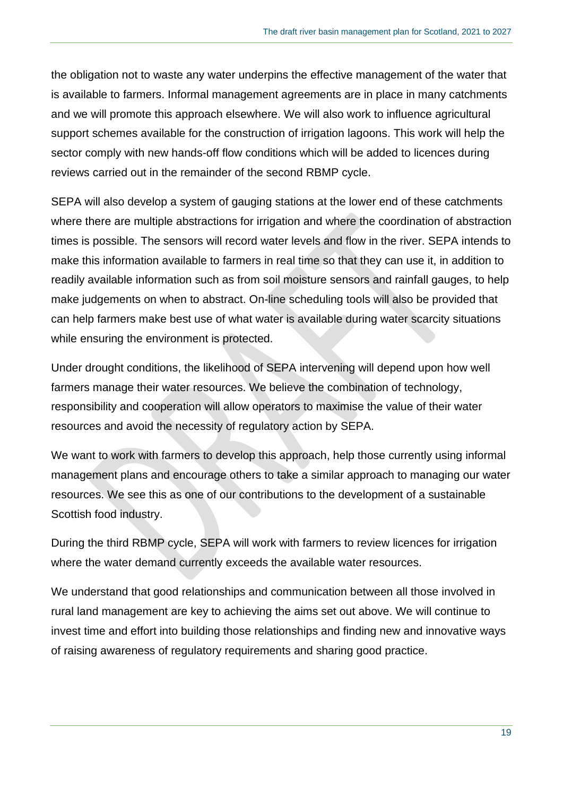the obligation not to waste any water underpins the effective management of the water that is available to farmers. Informal management agreements are in place in many catchments and we will promote this approach elsewhere. We will also work to influence agricultural support schemes available for the construction of irrigation lagoons. This work will help the sector comply with new hands-off flow conditions which will be added to licences during reviews carried out in the remainder of the second RBMP cycle.

SEPA will also develop a system of gauging stations at the lower end of these catchments where there are multiple abstractions for irrigation and where the coordination of abstraction times is possible. The sensors will record water levels and flow in the river. SEPA intends to make this information available to farmers in real time so that they can use it, in addition to readily available information such as from soil moisture sensors and rainfall gauges, to help make judgements on when to abstract. On-line scheduling tools will also be provided that can help farmers make best use of what water is available during water scarcity situations while ensuring the environment is protected.

Under drought conditions, the likelihood of SEPA intervening will depend upon how well farmers manage their water resources. We believe the combination of technology, responsibility and cooperation will allow operators to maximise the value of their water resources and avoid the necessity of regulatory action by SEPA.

We want to work with farmers to develop this approach, help those currently using informal management plans and encourage others to take a similar approach to managing our water resources. We see this as one of our contributions to the development of a sustainable Scottish food industry.

During the third RBMP cycle, SEPA will work with farmers to review licences for irrigation where the water demand currently exceeds the available water resources.

We understand that good relationships and communication between all those involved in rural land management are key to achieving the aims set out above. We will continue to invest time and effort into building those relationships and finding new and innovative ways of raising awareness of regulatory requirements and sharing good practice.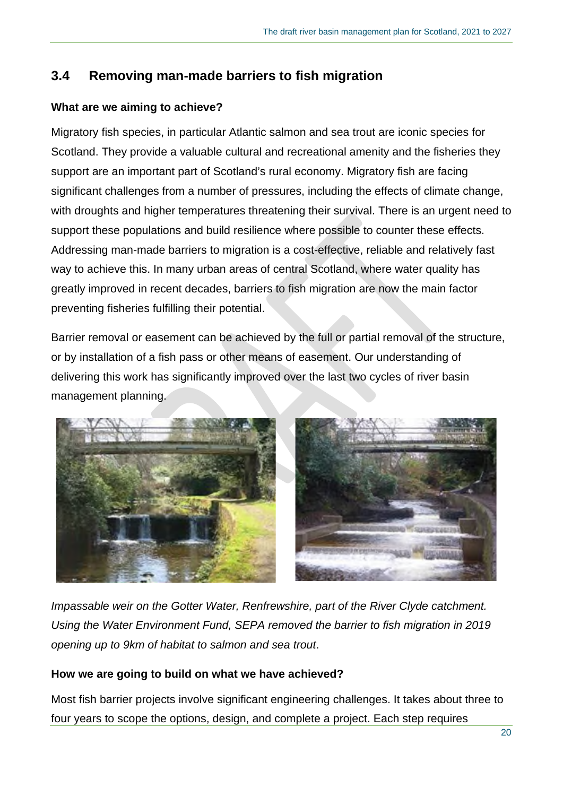## <span id="page-19-0"></span>**3.4 Removing man-made barriers to fish migration**

### <span id="page-19-1"></span>**What are we aiming to achieve?**

Migratory fish species, in particular Atlantic salmon and sea trout are iconic species for Scotland. They provide a valuable cultural and recreational amenity and the fisheries they support are an important part of Scotland's rural economy. Migratory fish are facing significant challenges from a number of pressures, including the effects of climate change, with droughts and higher temperatures threatening their survival. There is an urgent need to support these populations and build resilience where possible to counter these effects. Addressing man-made barriers to migration is a cost-effective, reliable and relatively fast way to achieve this. In many urban areas of central Scotland, where water quality has greatly improved in recent decades, barriers to fish migration are now the main factor preventing fisheries fulfilling their potential.

Barrier removal or easement can be achieved by the full or partial removal of the structure, or by installation of a fish pass or other means of easement. Our understanding of delivering this work has significantly improved over the last two cycles of river basin management planning.



*Impassable weir on the Gotter Water, Renfrewshire, part of the River Clyde catchment. Using the Water Environment Fund, SEPA removed the barrier to fish migration in 2019 opening up to 9km of habitat to salmon and sea trout*.

### <span id="page-19-2"></span>**How we are going to build on what we have achieved?**

Most fish barrier projects involve significant engineering challenges. It takes about three to four years to scope the options, design, and complete a project. Each step requires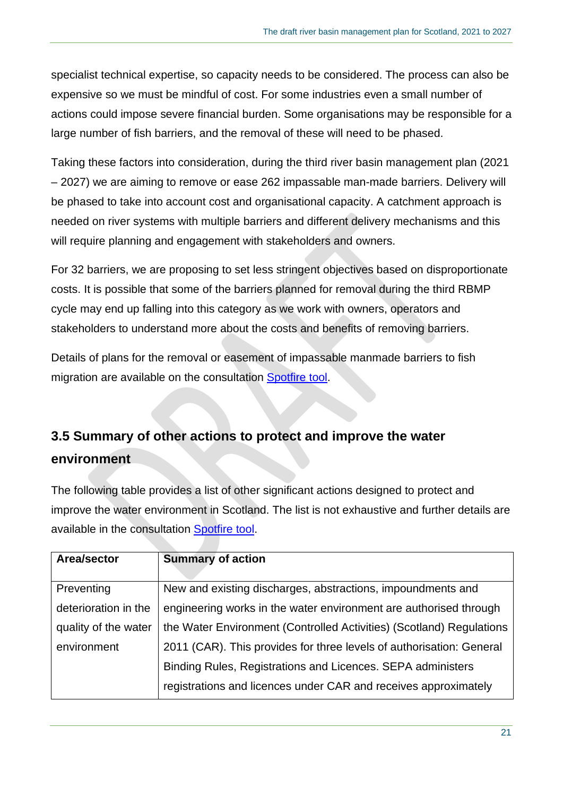specialist technical expertise, so capacity needs to be considered. The process can also be expensive so we must be mindful of cost. For some industries even a small number of actions could impose severe financial burden. Some organisations may be responsible for a large number of fish barriers, and the removal of these will need to be phased.

Taking these factors into consideration, during the third river basin management plan (2021 – 2027) we are aiming to remove or ease 262 impassable man-made barriers. Delivery will be phased to take into account cost and organisational capacity. A catchment approach is needed on river systems with multiple barriers and different delivery mechanisms and this will require planning and engagement with stakeholders and owners.

For 32 barriers, we are proposing to set less stringent objectives based on disproportionate costs. It is possible that some of the barriers planned for removal during the third RBMP cycle may end up falling into this category as we work with owners, operators and stakeholders to understand more about the costs and benefits of removing barriers.

Details of plans for the removal or easement of impassable manmade barriers to fish migration are available on the consultation [Spotfire tool.](https://informatics.sepa.org.uk/draftRBMP3hub)

# <span id="page-20-0"></span>**3.5 Summary of other actions to protect and improve the water environment**

The following table provides a list of other significant actions designed to protect and improve the water environment in Scotland. The list is not exhaustive and further details are available in the consultation [Spotfire tool.](https://informatics.sepa.org.uk/draftRBMP3hub)

| Area/sector          | <b>Summary of action</b>                                             |
|----------------------|----------------------------------------------------------------------|
|                      |                                                                      |
| Preventing           | New and existing discharges, abstractions, impoundments and          |
| deterioration in the | engineering works in the water environment are authorised through    |
| quality of the water | the Water Environment (Controlled Activities) (Scotland) Regulations |
| environment          | 2011 (CAR). This provides for three levels of authorisation: General |
|                      | Binding Rules, Registrations and Licences. SEPA administers          |
|                      | registrations and licences under CAR and receives approximately      |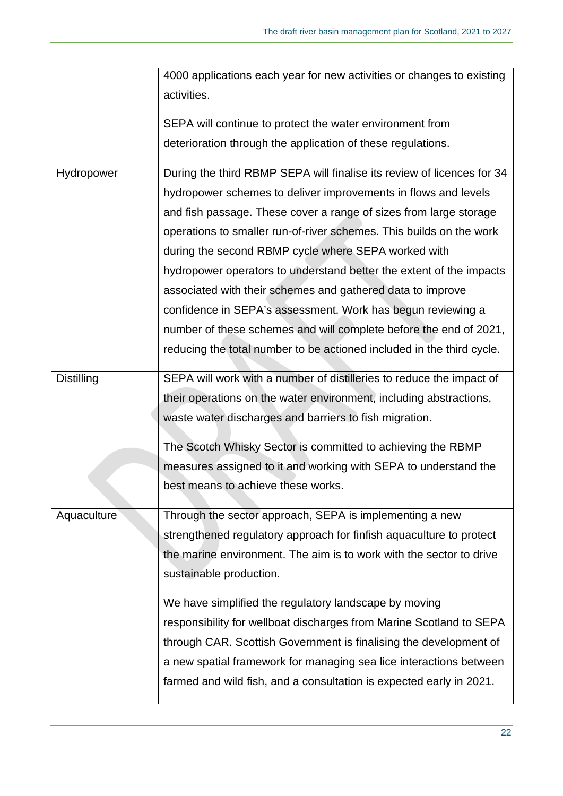|                   | 4000 applications each year for new activities or changes to existing  |
|-------------------|------------------------------------------------------------------------|
|                   | activities.                                                            |
|                   | SEPA will continue to protect the water environment from               |
|                   | deterioration through the application of these regulations.            |
| Hydropower        | During the third RBMP SEPA will finalise its review of licences for 34 |
|                   | hydropower schemes to deliver improvements in flows and levels         |
|                   | and fish passage. These cover a range of sizes from large storage      |
|                   | operations to smaller run-of-river schemes. This builds on the work    |
|                   | during the second RBMP cycle where SEPA worked with                    |
|                   | hydropower operators to understand better the extent of the impacts    |
|                   | associated with their schemes and gathered data to improve             |
|                   | confidence in SEPA's assessment. Work has begun reviewing a            |
|                   | number of these schemes and will complete before the end of 2021,      |
|                   | reducing the total number to be actioned included in the third cycle.  |
| <b>Distilling</b> | SEPA will work with a number of distilleries to reduce the impact of   |
|                   | their operations on the water environment, including abstractions,     |
|                   | waste water discharges and barriers to fish migration.                 |
|                   | The Scotch Whisky Sector is committed to achieving the RBMP            |
|                   | measures assigned to it and working with SEPA to understand the        |
|                   | best means to achieve these works.                                     |
|                   |                                                                        |
| Aquaculture       | Through the sector approach, SEPA is implementing a new                |
|                   | strengthened regulatory approach for finfish aquaculture to protect    |
|                   | the marine environment. The aim is to work with the sector to drive    |
|                   | sustainable production.                                                |
|                   | We have simplified the regulatory landscape by moving                  |
|                   | responsibility for wellboat discharges from Marine Scotland to SEPA    |
|                   | through CAR. Scottish Government is finalising the development of      |
|                   | a new spatial framework for managing sea lice interactions between     |
|                   | farmed and wild fish, and a consultation is expected early in 2021.    |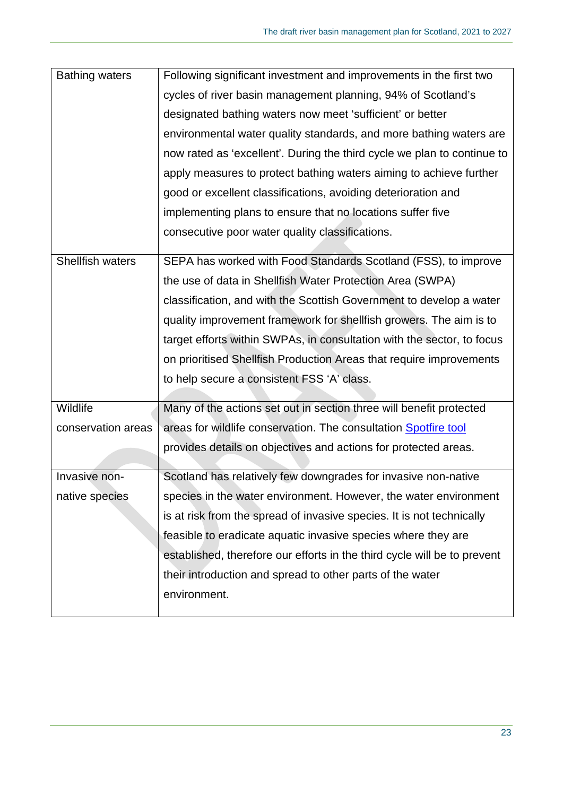| <b>Bathing waters</b> | Following significant investment and improvements in the first two       |
|-----------------------|--------------------------------------------------------------------------|
|                       | cycles of river basin management planning, 94% of Scotland's             |
|                       | designated bathing waters now meet 'sufficient' or better                |
|                       | environmental water quality standards, and more bathing waters are       |
|                       | now rated as 'excellent'. During the third cycle we plan to continue to  |
|                       | apply measures to protect bathing waters aiming to achieve further       |
|                       | good or excellent classifications, avoiding deterioration and            |
|                       | implementing plans to ensure that no locations suffer five               |
|                       | consecutive poor water quality classifications.                          |
| Shellfish waters      | SEPA has worked with Food Standards Scotland (FSS), to improve           |
|                       | the use of data in Shellfish Water Protection Area (SWPA)                |
|                       |                                                                          |
|                       | classification, and with the Scottish Government to develop a water      |
|                       | quality improvement framework for shellfish growers. The aim is to       |
|                       | target efforts within SWPAs, in consultation with the sector, to focus   |
|                       | on prioritised Shellfish Production Areas that require improvements      |
|                       | to help secure a consistent FSS 'A' class.                               |
| Wildlife              | Many of the actions set out in section three will benefit protected      |
| conservation areas    | areas for wildlife conservation. The consultation Spotfire tool          |
|                       |                                                                          |
|                       | provides details on objectives and actions for protected areas.          |
| Invasive non-         | Scotland has relatively few downgrades for invasive non-native           |
| native species        | species in the water environment. However, the water environment         |
|                       | is at risk from the spread of invasive species. It is not technically    |
|                       | feasible to eradicate aquatic invasive species where they are            |
|                       | established, therefore our efforts in the third cycle will be to prevent |
|                       | their introduction and spread to other parts of the water                |
|                       | environment.                                                             |
|                       |                                                                          |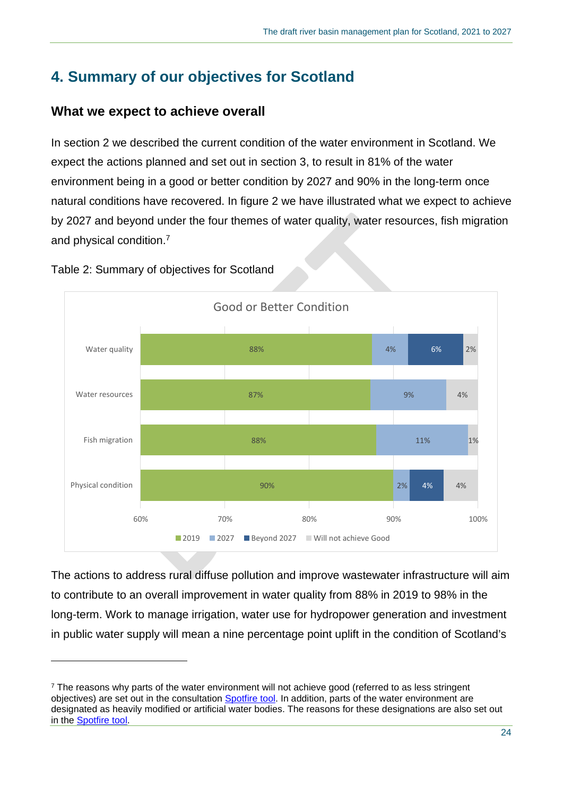# <span id="page-23-0"></span>**4. Summary of our objectives for Scotland**

### <span id="page-23-1"></span>**What we expect to achieve overall**

In section 2 we described the current condition of the water environment in Scotland. We expect the actions planned and set out in section 3, to result in 81% of the water environment being in a good or better condition by 2027 and 90% in the long-term once natural conditions have recovered. In figure 2 we have illustrated what we expect to achieve by 2027 and beyond under the four themes of water quality, water resources, fish migration and physical condition.<sup>7</sup>



Table 2: Summary of objectives for Scotland

The actions to address rural diffuse pollution and improve wastewater infrastructure will aim to contribute to an overall improvement in water quality from 88% in 2019 to 98% in the long-term. Work to manage irrigation, water use for hydropower generation and investment in public water supply will mean a nine percentage point uplift in the condition of Scotland's

<sup>&</sup>lt;sup>7</sup> The reasons why parts of the water environment will not achieve good (referred to as less stringent objectives) are set out in the consultation [Spotfire tool.](https://informatics.sepa.org.uk/draftRBMP3hub) In addition, parts of the water environment are designated as heavily modified or artificial water bodies. The reasons for these designations are also set out in the [Spotfire tool.](https://informatics.sepa.org.uk/draftRBMP3hub)